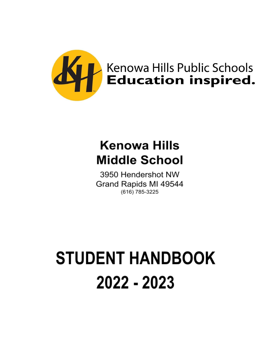

## **Kenowa Hills Middle School**

3950 Hendershot NW Grand Rapids MI 49544 (616) 785-3225

# **STUDENT HANDBOOK** 2022 - 2023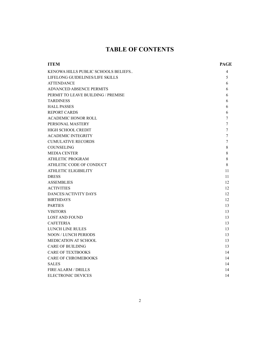## **TABLE OF CONTENTS**

| <b>ITEM</b>                         | <b>PAGE</b>    |
|-------------------------------------|----------------|
| KENOWA HILLS PUBLIC SCHOOLS BELIEFS | $\overline{4}$ |
| LIFELONG GUIDELINES/LIFE SKILLS     | 5              |
| <b>ATTENDANCE</b>                   | 6              |
| <b>ADVANCED ABSENCE PERMITS</b>     | 6              |
| PERMIT TO LEAVE BUILDING / PREMISE  | 6              |
| <b>TARDINESS</b>                    | 6              |
| <b>HALL PASSES</b>                  | 6              |
| <b>REPORT CARDS</b>                 | 6              |
| <b>ACADEMIC HONOR ROLL</b>          | 7              |
| PERSONAL MASTERY                    | 7              |
| HIGH SCHOOL CREDIT                  | 7              |
| <b>ACADEMIC INTEGRITY</b>           | 7              |
| <b>CUMULATIVE RECORDS</b>           | 7              |
| <b>COUNSELING</b>                   | 8              |
| <b>MEDIA CENTER</b>                 | 8              |
| ATHLETIC PROGRAM                    | 8              |
| ATHLETIC CODE OF CONDUCT            | 8              |
| ATHLETIC ELIGIBILITY                | 11             |
| <b>DRESS</b>                        | 11             |
| <b>ASSEMBLIES</b>                   | 12             |
| <b>ACTIVITIES</b>                   | 12             |
| DANCES/ACTIVITY DAYS                | 12             |
| <b>BIRTHDAYS</b>                    | 12             |
| <b>PARTIES</b>                      | 13             |
| <b>VISITORS</b>                     | 13             |
| <b>LOST AND FOUND</b>               | 13             |
| <b>CAFETERIA</b>                    | 13             |
| LUNCH LINE RULES                    | 13             |
| <b>NOON / LUNCH PERIODS</b>         | 13             |
| <b>MEDICATION AT SCHOOL</b>         | 13             |
| <b>CARE OF BUILDING</b>             | 13             |
| <b>CARE OF TEXTBOOKS</b>            | 14             |
| <b>CARE OF CHROMEBOOKS</b>          | 14             |
| <b>SALES</b>                        | 14             |
| <b>FIRE ALARM / DRILLS</b>          | 14             |
| <b>ELECTRONIC DEVICES</b>           | 14             |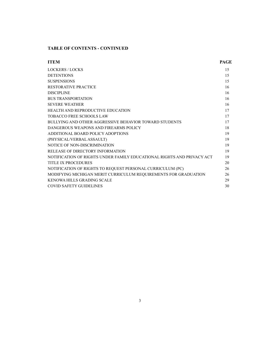#### **TABLE OF CONTENTS - CONTINUED**

| <b>ITEM</b>                                                            | <b>PAGE</b> |
|------------------------------------------------------------------------|-------------|
| <b>LOCKERS / LOCKS</b>                                                 | 15          |
| <b>DETENTIONS</b>                                                      | 15          |
| <b>SUSPENSIONS</b>                                                     | 15          |
| <b>RESTORATIVE PRACTICE</b>                                            | 16          |
| <b>DISCIPLINE</b>                                                      | 16          |
| <b>BUS TRANSPORTATION</b>                                              | 16          |
| <b>SEVERE WEATHER</b>                                                  | 16          |
| HEALTH AND REPRODUCTIVE EDUCATION                                      | 17          |
| TOBACCO FREE SCHOOLS LAW                                               | 17          |
| BULLYING AND OTHER AGGRESSIVE BEHAVIOR TOWARD STUDENTS                 | 17          |
| DANGEROUS WEAPONS AND FIREARMS POLICY                                  | 18          |
| ADDITIONAL BOARD POLICY ADOPTIONS                                      | 19          |
| (PHYSICAL/VERBAL ASSAULT)                                              | 19          |
| NOTICE OF NON-DISCRIMINATION                                           | 19          |
| RELEASE OF DIRECTORY INFORMATION                                       | 19          |
| NOTIFICATION OF RIGHTS UNDER FAMILY EDUCATIONAL RIGHTS AND PRIVACY ACT | 19          |
| TITLE IX PROCEDURES                                                    | 20          |
| NOTIFICATION OF RIGHTS TO REQUEST PERSONAL CURRICULUM (PC)             | 26          |
| MODIFYING MICHIGAN MERIT CURRICULUM REQUIREMENTS FOR GRADUATION        | 26          |
| <b>KENOWA HILLS GRADING SCALE</b>                                      | 29          |
| <b>COVID SAFETY GUIDELINES</b>                                         | 30          |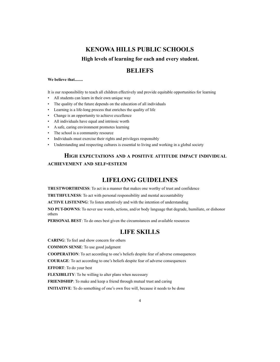#### **KENOWA HILLS PUBLIC SCHOOLS**

#### **High levels of learning for each and every student.**

#### **BELIEFS**

#### **We believe that........**

It is our responsibility to teach all children effectively and provide equitable opportunities for learning

- All students can learn in their own unique way
- The quality of the future depends on the education of all individuals
- Learning is a life-long process that enriches the quality of life
- Change is an opportunity to achieve excellence
- All individuals have equal and intrinsic worth
- A safe, caring environment promotes learning
- The school is a community resource
- Individuals must exercise their rights and privileges responsibly
- Understanding and respecting cultures is essential to living and working in a global society

## **HIGH EXPECTATIONS AND A POSITIVE ATTITUDE IMPACT INDIVIDUAL ACHIEVEMENT AND SELF-ESTEEM**

#### **LIFELONG GUIDELINES**

**TRUSTWORTHINESS**: To act in a manner that makes one worthy of trust and confidence

**TRUTHFULNESS**: To act with personal responsibility and mental accountability

**ACTIVE LISTENING**: To listen attentively and with the intention of understanding

**NO PUT-DOWNS**: To never use words, actions, and/or body language that degrade, humiliate, or dishonor others

**PERSONAL BEST**: To do ones best given the circumstances and available resources

#### **LIFE SKILLS**

**CARING**: To feel and show concern for others

**COMMON SENSE**: To use good judgment

**COOPERATION**: To act according to one's beliefs despite fear of adverse consequences

**COURAGE**: To act according to one's beliefs despite fear of adverse consequences

**EFFORT**: To do your best

**FLEXIBILITY**: To be willing to alter plans when necessary

**FRIENDSHIP**: To make and keep a friend through mutual trust and caring

**INITIATIVE:** To do something of one's own free will, because it needs to be done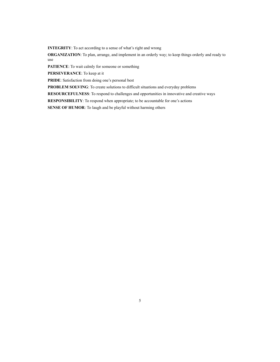**INTEGRITY**: To act according to a sense of what's right and wrong

**ORGANIZATION**: To plan, arrange, and implement in an orderly way; to keep things orderly and ready to use

PATIENCE: To wait calmly for someone or something

**PERSEVERANCE**: To keep at it

**PRIDE**: Satisfaction from doing one's personal best

**PROBLEM SOLVING**: To create solutions to difficult situations and everyday problems

**RESOURCEFULNESS**: To respond to challenges and opportunities in innovative and creative ways

**RESPONSIBILITY**: To respond when appropriate; to be accountable for one's actions

**SENSE OF HUMOR**: To laugh and be playful without harming others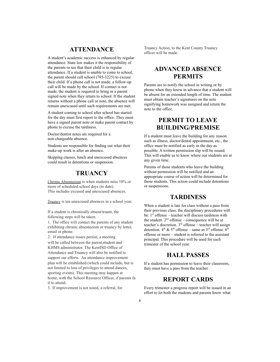#### **ATTENDANCE**

A student's academic success is enhanced by regular attendance. State law makes it the responsibility of the parents to see that their child is in regular attendance. If a student is unable to come to school, the parent should call school (785-3225) to excuse their child. If a phone call is not made, a follow-up call will be made by the school. If contact is not made, the student is required to bring in a parent signed note when they return to school. If the student returns without a phone call or note, the absence will remain unexcused until such requirements are met.

A student coming to school after school has started for the day must first report to the office. They must have a signed parent note or make parent contact by phone to excuse the tardiness.

Doctor/dentist notes are required for a non-chargeable absence.

Students are responsible for finding out what their make-up work is after an absence.

Skipping classes, lunch and unexcused absences could result in detentions or suspension.

#### **TRUANCY**

Chronic Absenteeism is when students miss 10% or more of scheduled school days (to date). This includes excused and unexcused absences.

Truancy is ten unexcused absences in a school year.

If a student is chronically absent/truant, the following steps will be taken.

1. The office will contact the parents of any student exhibiting chronic absenteeism or truancy by letter, email or phone.

2. If attendance issues persist, a meeting will be called between the parent,student and KHMS administrator. The KentISD Office of Attendance and Truancy will also be notified to support our efforts. An attendance improvement plan will be established (which could include, but is not limited to loss of privileges to attend dances, sporting events). This meeting may happen at home, with the School Resource Officer, if parents fa il to attend.

3. If improvement is not noted, a referral, for

Truancy Action, to the Kent County Truancy officer will be made.

## **ADVANCED ABSENCE PERMITS**

Parents are to notify the school in writing or by phone when they know in advance that a student will be absent for an extended length of time. The student must obtain teacher's signatures on the note signifying homework was assigned and return the note to the office.

## **PERMIT TO LEAVE BUILDING/PREMISE**

If a student must leave the building for any reason such as illness, doctor/dental appointment, etc., the office must be notified as early in the day as possible. A written permission slip will be issued. This will enable us to know where our students are at any given time.

Parents of those students who leave the building without permission will be notified and an appropriate course of action will be determined for those students. This action could include detentions or suspensions.

#### **TARDINESS**

When a student is late for class without a pass from their previous class, the disciplinary procedures will be:  $1^{\overline{st}}$  offense – teacher will discuss tardiness with the student.  $2<sup>nd</sup>$  offense – consequence will be at teacher's discretion. 3rd offense – teacher will assign detention.  $4^{\text{th}} \& 5^{\text{th}}$  offense – same as  $3^{\text{rd}}$  offense.  $6^{\text{th}}$ offense or more – student is referred to the assistant principal. This procedure will be used for each trimester of the school year.

#### **HALL PASSES**

If a student has permission to leave their classroom, they must have a pass from the teacher.

#### **REPORT CARDS**

Every trimester a progress report will be issued in an effort to let both the students and parents know what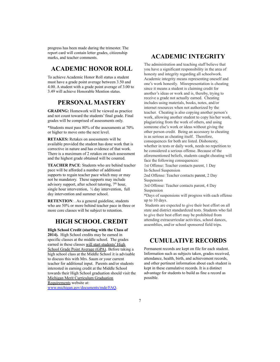progress has been made during the trimester. The report card will contain letter grades, citizenship marks, and teacher comments.

## **ACADEMIC HONOR ROLL**

To achieve Academic Honor Roll status a student must have a grade point average between 3.50 and 4.00. A student with a grade point average of 3.00 to 3.49 will achieve Honorable Mention status.

#### **PERSONAL MASTERY**

**GRADING:** Homework will be viewed as practice and not count toward the students' final grade. Final grades will be comprised of assessments only.

\*Students must pass 80% of the assessments at 70% or higher to move onto the next level.

**RETAKES:** Retakes on assessments will be available provided the student has done work that is corrective in nature and has evidence of that work. There is a maximum of 2 retakes on each assessment and the highest grade obtained will be counted.

**TEACHER PACE**: Students who are behind teacher pace will be afforded a number of additional supports to regain teacher pace which may or may not be mandatory. These supports may include advisory support, after school tutoring,  $7<sup>th</sup>$  hour, single hour intervention,  $\frac{1}{2}$  day intervention, full day intervention and summer school.

**RETENTION**: . As a general guideline, students who are 50% or more behind teacher pace in three or more core classes will be subject to retention.

## **HIGH SCHOOL CREDIT**

**High School Credit (starting with the Class of 2014).** High School credits may be earned in specific classes at the middle school. The grades earned in these classes will start students' High School Grade Point Average (GPA). Before taking a high school class at the Middle School it is advisable to discuss this with Mrs. Saum or your current teacher for additional input. Parents and/or students interested in earning credit at the Middle School towards their High School graduation should visit the Michigan Merit Curriculum Graduation Requirements website at: [www.michigan.gov/documents/mde/FAQ](http://www.michigan.gov/documents/mde/FAQ).

## **ACADEMIC INTEGRITY**

The administration and teaching staff believe that you have a significant responsibility in the area of honesty and integrity regarding all schoolwork. Academic integrity means representing oneself and one's work honestly. Misrepresentation is cheating since it means a student is claiming credit for another's ideas or work and is, thereby, trying to receive a grade not actually earned. Cheating includes using materials, books, notes, and/or internet resources when not authorized by the teacher. Cheating is also copying another person's work, allowing another student to copy his/her work, plagiarizing from the work of others, and using someone else's work or ideas without giving the other person credit. Being an accessory to cheating is as serious as cheating itself. Therefore, consequences for both are listed. Dishonesty, whether in tests or daily work, needs no repetition to be considered a serious offense. Because of the aforementioned beliefs, students caught cheating will face the following consequences:

1st Offense: Teacher contacts parent, 1 Day In-School Suspension

2nd Offense: Teacher contacts parent, 2 Day Suspension

3rd Offense: Teacher contacts parent, 4 Day Suspension

\*Days of suspensions will progress with each offense up to 10 days.

Students are expected to give their best effort on all state and district standardized tests. Students who fail to give their best effort may be prohibited from attending extracurricular activities, school dances, assemblies, and/or school sponsored field trips.

#### **CUMULATIVE RECORDS**

Permanent records are kept on file for each student. Information such as subjects taken, grades received, attendance, health, birth, and achievement records, and other pertinent information about each student is kept in these cumulative records. It is a distinct advantage for students to build as fine a record as possible.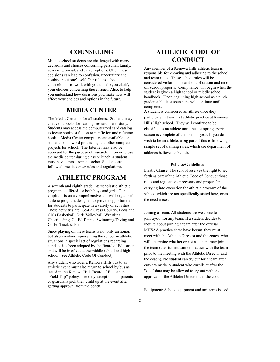## **COUNSELING**

Middle school students are challenged with many decisions and choices concerning personal, family, academic, social, and career options. Often these decisions can lead to confusion, uncertainty and doubts about one's self. Our role as school counselors is to work with you to help you clarify your choices concerning these issues. Also, to help you understand how decisions you make now will affect your choices and options in the future.

#### **MEDIA CENTER**

The Media Center is for all students. Students may check out books for reading, research, and study. Students may access the computerized card catalog to locate books of fiction or nonfiction and reference books. Media Center computers are available for students to do word processing and other computer projects for school. The Internet may also be accessed for the purpose of research. In order to use the media center during class or lunch, a student must have a pass from a teacher. Students are to follow all media center rules and regulations.

#### **ATHLETIC PROGRAM**

A seventh and eighth grade interscholastic athletic program is offered for both boys and girls. Our emphasis is on a comprehensive and well-organized athletic program, designed to provide opportunities for students to participate in a variety of activities. These activities are: Co-Ed Cross Country, Boys and Girls Basketball, Girls Volleyball, Wrestling, Cheerleading, Co-Ed Tennis, Swimming/Diving and Co-Ed Track & Field.

Since playing on these teams is not only an honor, but also involves representing the school in athletic situations, a special set of regulations regarding conduct has been adopted by the Board of Education and will be in effect at the middle school and high school. (see Athletic Code Of Conduct)

Any student who rides a Kenowa Hills bus to an athletic event must also return to school by bus as stated in the Kenowa Hills Board of Education "Field Trip" policy. The only exception is if parents or guardians pick their child up at the event after getting approval from the coach.

## **ATHLETIC CODE OF CONDUCT**

Any member of a Kenowa Hills athletic team is responsible for knowing and adhering to the school and team rules. These school rules will be considered violations in and out of season and on or off school property. Compliance will begin when the student is given a high school or middle school handbook. Upon beginning high school as a ninth grader, athletic suspensions will continue until completed.

A student is considered an athlete once they participate in their first athletic practice at Kenowa Hills High school. They will continue to be classified as an athlete until the last spring sports season is complete of their senior year. If you do wish to be an athlete, a big part of this is following s simple set of training rules, which the department of athletics believes to be fair.

#### **Policies/Guidelines**

Elastic Clause: The school reserves the right to set forth as part of the Athletic Code of Conduct those rules and regulations necessary and proper for carrying into execution the athletic program of the school, which are not specifically stated here, or as the need arises.

Joining a Team: All students are welcome to join/tryout for any team. If a student decides to inquire about joining a team after the official MHSAA practice dates have begun, they must meet with the Athletic Director and the coach, who will determine whether or not a student may join the team (the student cannot practice with the team prior to the meeting with the Athletic Director and the coach). No student can try out for a team after cuts are made. A student who enrolls at after the "cuts" date may be allowed to try out with the approval of the Athletic Director and the coach.

Equipment: School equipment and uniforms issued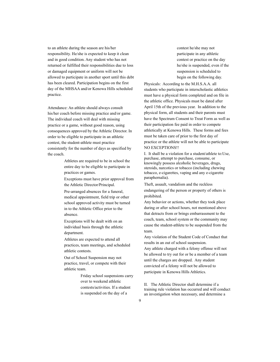to an athlete during the season are his/her responsibility. He/she is expected to keep it clean and in good condition. Any student who has not returned or fulfilled their responsibilities due to loss or damaged equipment or uniform will not be allowed to participate in another sport until this debt has been cleared. Participation begins on the first day of the MHSAA and/or Kenowa Hills scheduled practice.

Attendance: An athlete should always consult his/her coach before missing practice and/or game. The individual coach will deal with missing practice or a game, without good reason, using consequences approved by the Athletic Director. In order to be eligible to participate in an athletic contest, the student-athlete must practice consistently for the number of days as specified by the coach.

> Athletes are required to be in school the entire day to be eligible to participate in practices or games.

Exceptions must have prior approval from the Athletic Director/Principal.

Pre-arranged absences for a funeral, medical appointment, field trip or other school approved activity must be turned in to the Athletic Office prior to the absence.

Exceptions will be dealt with on an individual basis through the athletic department.

Athletes are expected to attend all practices, team meetings, and scheduled athletic contests.

Out of School Suspension may not practice, travel, or compete with their athletic team.

> Friday school suspensions carry over to weekend athletic contests/activities. If a student is suspended on the day of a

contest he/she may not participate in any athletic contest or practice on the day he/she is suspended, even if the suspension is scheduled to begin on the following day.

Physicals: According to the M.H.S.A.A. all students who participate in interscholastic athletics must have a physical form completed and on file in the athletic office. Physicals must be dated after April 15th of the previous year. In addition to the physical form, all students and their parents must have the Spectrum Consent to Treat Form as well as their participation fee paid in order to compete athletically at Kenowa Hills. These forms and fees must be taken care of prior to the first day of practice or the athlete will not be able to participate NO EXCEPTIONS!!

I. It shall be a violation for a student/athlete to:Use, purchase, attempt to purchase, consume, or knowingly possess alcoholic beverages, drugs, steroids, narcotics or tobacco (including chewing tobacco, e-cigarettes, vaping and any e-cigarette paraphernalia).

Theft, assault, vandalism and the reckless endangering of the person or property of others is prohibited.

Any behavior or actions, whether they took place during or after school hours, not mentioned above that detracts from or brings embarrassment to the coach, team, school system or the community may cause the student-athlete to be suspended from the team.

Any violation of the Student Code of Conduct that results in an out of school suspension.

Any athlete charged with a felony offense will not be allowed to try out for or be a member of a team until the charges are dropped. Any student convicted of a felony will not be allowed to participate in Kenowa Hills Athletics.

II. The Athletic Director shall determine if a training rule violation has occurred and will conduct an investigation when necessary, and determine a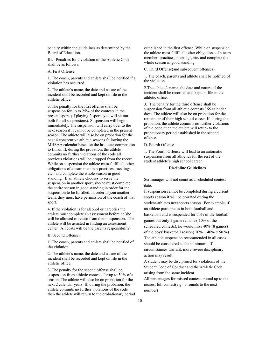penalty within the guidelines as determined by the Board of Education.

III. Penalties for a violation of the Athletic Code shall be as follows:

A. First Offense:

1. The coach, parents and athlete shall be notified if a violation has occurred.

2. The athlete's name, the date and nature of the incident shall be recorded and kept on file in the athletic office.

3. The penalty for the first offense shall be suspension for up to 25% of the contests in the present sport. (If playing 2 sports you will sit out both for all suspensions). Suspension will begin immediately. The suspension will carry over to the next season if it cannot be completed in the present season. The athlete will also be on probation for the next 4 consecutive athletic seasons following the MHSAA calendar based on the last state competition to finish. If, during the probation, the athlete commits no further violations of the code all previous violations will be dropped from the record. While on suspension the athlete must fulfill all other obligations of a team member: practices, meetings, etc., and complete the whole season in good standing. If an athlete chooses to serve the suspension in another sport, she/he must complete the entire season in good standing in order for the suspension to be fulfilled. In order to join another team, they must have permission of the coach of that sport.

4. If the violation is for alcohol or narcotics the athlete must complete an assessment before he/she will be allowed to return from their suspension. The athlete will be assisted in finding an assessment center. All costs will be the parents responsibility.

B. Second Offense:

1. The coach, parents and athlete shall be notified of the violation.

2. The athlete's name, the date and nature of the incident shall be recorded and kept on file in the athletic office.

3. The penalty for the second offense shall be suspension from athletic contests for up to 50% of a season. The athlete will also be on probation for the next 2 calendar years. If, during the probation, the athlete commits no further violations of the code then the athlete will return to the probationary period established in the first offense. While on suspension the athlete must fulfill all other obligations of a team member: practices, meetings, etc. and complete the whole season in good standing

C. Third Offense(and subsequent offenses):

1. The coach, parents and athlete shall be notified of the violation.

2.The athlete's name, the date and nature of the incident shall be recorded and kept on file in the athletic office.

3. The penalty for the third offense shall be suspension from all athletic contests 365 calendar days. The athlete will also be on probation for the remainder of their high school career. If, during the probation, the athlete commits no further violations of the code, then the athlete will return to the probationary period established in the second offense.

D. Fourth Offense

1. The Fourth Offense will lead to an automatic suspension from all athletics for the rest of the student athlete's high school career.

#### **Discipline Guidelines**

Scrimmages will not count as a scheduled contest date.

If suspension cannot be completed during a current sports season it will be prorated during the student-athletes next sports season. For example, if an athlete participates in both football and basketball and is suspended for 50% of the football games but only 1 game remains( 10% of the scheduled contests), he would miss 40% (8 games) of the boys' basketball season(  $10\% + 40\% = 50\%$ ) The athletic suspension recommended in all cases should be considered as the minimum. If circumstances warrant, more severe disciplinary action may result.

A student may be disciplined for violations of the Student Code of Conduct and the Athletic Code arising from the same incident.

All percentages for missed contests round up to the nearest full contest(e.g. .5 rounds to the next number)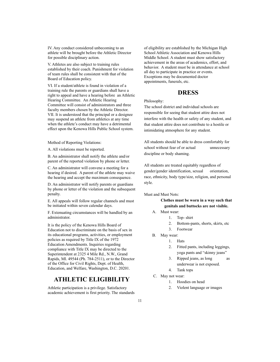IV. Any conduct considered unbecoming to an athlete will be brought before the Athletic Director for possible disciplinary action.

V. Athletes are also subject to training rules established by their coach. Punishment for violation of team rules shall be consistent with that of the Board of Education policy.

VI. If a student/athlete is found in violation of a training rule the parents or guardians shall have a right to appeal and have a hearing before an Athletic Hearing Committee. An Athletic Hearing Committee will consist of administrators and three faculty members chosen by the Athletic Director. VII. It is understood that the principal or a designee may suspend an athlete from athletics at any time when the athlete's conduct may have a detrimental effect upon the Kenowa Hills Public School system.

Method of Reporting Violations:

A. All violations must be reported.

B. An administrator shall notify the athlete and/or parent of the reported violation by phone or letter.

C. An administrator will convene a meeting for a hearing if desired. A parent of the athlete may waive the hearing and accept the maximum consequence.

D. An administrator will notify parents or guardians by phone or letter of the violation and the subsequent penalty.

E. All appeals will follow regular channels and must be initiated within seven calendar days.

F. Extenuating circumstances will be handled by an administrator.

It is the policy of the Kenowa Hills Board of Education not to discriminate on the basis of sex in its educational programs, activities, or employment policies as required by Title IX of the 1972 Education Amendments. Inquiries regarding compliance with Title IX may be directed to the Superintendent at 2325 4 Mile Rd., N.W., Grand Rapids, Ml. 49544 (Ph. 784-2511), or to the Director of the Office for Civil Rights, Dept. of Health, Education, and Welfare, Washington, D.C. 20201.

#### **ATHLETIC ELIGIBILITY**

Athletic participation is a privilege. Satisfactory academic achievement is first priority. The standards of eligibility are established by the Michigan High School Athletic Association and Kenowa Hills Middle School. A student must show satisfactory achievement in the areas of academics, effort, and behavior. A student must be in attendance at school all day to participate in practice or events. Exceptions may be documented doctor appointments, funerals, etc.

#### **DRESS**

Philosophy:

The school district and individual schools are responsible for seeing that student attire does not interfere with the health or safety of any student, and that student attire does not contribute to a hostile or intimidating atmosphere for any student.

All students should be able to dress comfortably for school without fear of or actual unnecessary discipline or body shaming.

All students are treated equitably regardless of gender/gender identification, sexual orientation, race, ethnicity, body type/size, religion, and personal style.

Must and Must Nots:

#### **Clothes must be worn in a way such that genitals and buttocks are not visible.**

- A. Must wear:
	- 1. Top- shirt
		- 2. Bottom-pants, shorts, skirts, etc
	- 3. Footwear
- B. May wear:
	- 1. Hats
	- 2. Fitted pants, including leggings, yoga pants and "skinny jeans"
	- 3. Ripped jeans, as long as underwear is not exposed.
	- 4. Tank tops
- C. May not wear:
	- 1. Hoodies on head
	- 2. Violent language or images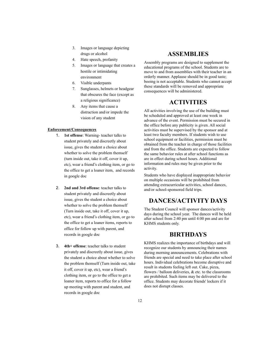- 3. Images or language depicting drugs or alcohol
- 4. Hate speech, profanity
- 5. Images or language that creates a hostile or intimidating environment
- 6. Visible underpants
- 7. Sunglasses, helmets or headgear that obscures the face (except as a religious significance)
- 8. Any items that cause a distraction and/or impede the vision of any student

#### **Enforcement/Consequences**

- 1. **1st offense**: Warning- teacher talks to student privately and discreetly about issue, gives the student a choice about whether to solve the problem themself (turn inside out, take it off, cover it up, etc), wear a friend's clothing item, or go to the office to get a loaner item, and records in google doc
- 2. **2nd and 3rd offense**: teacher talks to student privately and discreetly about issue, gives the student a choice about whether to solve the problem themself (Turn inside out, take it off, cover it up, etc), wear a friend's clothing item, or go to the office to get a loaner items, reports to office for follow up with parent, and records in google doc
- 3. **4th+ offense**: teacher talks to student privately and discreetly about issue, gives the student a choice about whether to solve the problem themself (Turn inside out, take it off, cover it up, etc), wear a friend's clothing item, or go to the office to get a loaner item, reports to office for a follow up meeting with parent and student, and records in google doc

#### **ASSEMBLIES**

Assembly programs are designed to supplement the educational programs of the school. Students are to move to and from assemblies with their teacher in an orderly manner. Applause should be in good taste; booing is not acceptable. Students who cannot accept these standards will be removed and appropriate consequences will be administered.

#### **ACTIVITIES**

All activities involving the use of the building must be scheduled and approved at least one week in advance of the event. Permission must be secured in the office before any publicity is given. All social activities must be supervised by the sponsor and at least two faculty members. If students wish to use school equipment or facilities, permission must be obtained from the teacher in charge of those facilities and from the office. Students are expected to follow the same behavior rules at after school functions as are in effect during school hours. Additional information and rules may be given prior to the activity.

Students who have displayed inappropriate behavior on multiple occasions will be prohibited from attending extracurricular activities, school dances, and/or school-sponsored field trips.

## **DANCES/ACTIVITY DAYS**

The Student Council will sponsor dances/activity days during the school year. The dances will be held after school from 2:40 pm until 4:00 pm and are for KHMS students only.

## **BIRTHDAYS**

KHMS realizes the importance of birthdays and will recognize our students by announcing their names during morning announcements. Celebrations with friends are special and need to take place after school hours. Individual celebrations become disruptive and result in students feeling left out. Cake, pizza, flowers / balloon deliveries,  $\&$  [etc. to](http://etc.to) the classrooms are prohibited. Such items may be delivered to the office. Students may decorate friends' lockers if it does not disrupt classes.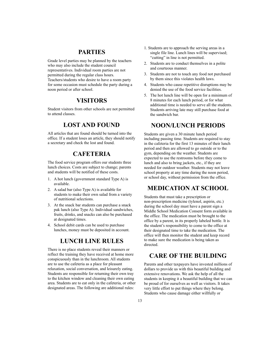#### **PARTIES**

Grade level parties may be planned by the teachers who may also include the student council representatives. Individual room parties are not permitted during the regular class hours. Teachers/students who desire to have a room party for some occasion must schedule the party during a noon period or after school.

#### **VISITORS**

Student visitors from other schools are not permitted to attend classes.

## **LOST AND FOUND**

All articles that are found should be turned into the office. If a student loses an article, they should notify a secretary and check the lost and found.

#### **CAFETERIA**

The food service program offers our students three lunch choices. Costs are subject to change; parents and students will be notified of these costs.

- 1. A hot lunch (government standard Type A) is available.
- 2. A salad bar (also Type A) is available for students to make their own salad from a variety of nutritional selections.
- 3. At the snack bar students can purchase a snack pak lunch (also Type A). Individual sandwiches, fruits, drinks, and snacks can also be purchased at designated times.
- 4. School debit cards can be used to purchase lunches, money must be deposited in account.

#### **LUNCH LINE RULES**

There is no place students reveal their manners or reflect the training they have received at home more conspicuously than in the lunchroom. All students are to use the cafeteria as a place for pleasant relaxation, social conversation, and leisurely eating. Students are responsible for returning their own tray to the kitchen window and cleaning their own eating area. Students are to eat only in the cafeteria, or other designated areas. The following are additional rules:

- 1. Students are to approach the serving areas in a single file line. Lunch lines will be supervised; "cutting" in line is not permitted.
- 2. Students are to conduct themselves in a polite and courteous manner.
- 3. Students are not to touch any food not purchased by them since this violates health laws.
- 4. Students who cause repetitive disruptions may be denied the use of the food service facilities.
- 5. The hot lunch line will be open for a minimum of 8 minutes for each lunch period, or for what additional time is needed to serve all the students. Students arriving late may still purchase food at the sandwich bar.

#### **NOON/LUNCH PERIODS**

Students are given a 30 minute lunch period including passing time. Students are required to stay in the cafeteria for the first 13 minutes of their lunch period and then are allowed to go outside or to the gym, depending on the weather. Students are expected to use the restrooms before they come to lunch and also to bring jackets, etc., if they are needed for outdoor weather. Students may not leave school property at any time during the noon period, or school day, without permission from the office.

## **MEDICATION AT SCHOOL**

Students that must take a prescription or non-prescription medicine (tylenol, aspirin, etc.) during the school day must have a parent sign a Middle School Medication Consent form available in the office. The medication must be brought to the office by a parent, in its properly labeled bottle. It is the student's responsibility to come to the office at their designated time to take the medication. The office will then monitor the student and keep record to make sure the medication is being taken as directed.

## **CARE OF THE BUILDING**

Parents and other taxpayers have invested millions of dollars to provide us with this beautiful building and extensive renovations. We ask the help of all the students in keeping it a beautiful building that we can be proud of for ourselves as well as visitors. It takes very little effort to put things where they belong. Students who cause damage either willfully or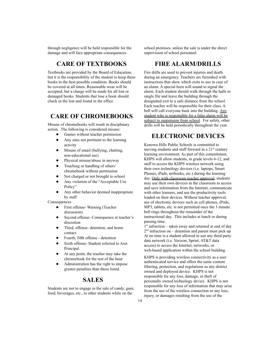through negligence will be held responsible for the damage and will face appropriate consequences.

#### **CARE OF TEXTBOOKS**

Textbooks are provided by the Board of Education, but it is the responsibility of the student to keep these books in the best possible condition. Books should be covered at all times. Reasonable wear will be accepted, but a charge will be made for all lost or damaged books. Students that lose a book should check in the lost and found in the office.

#### **CARE OF CHROMEBOOKS**

Misuse of chromebooks will result in disciplinary action. The following is considered misuse:

- Games without teacher permission
- Any sites not pertinent to the learning activity
- Misuse of email (bullying, chatting, non-educational use)
- Physical misuse/abuse in anyway
- Touching or handling of others' chromebook without permission
- Not charged or not brought to school
- Any violation of the "Acceptable Use Policy"
- Any other behavior deemed inappropriate by staff.

Consequences

- First offense- Warning (Teacher discussion)
- Second offense- Consequence at teacher's discretion
- Third, offense- detention, and home contact.
- Fourth, fifth offense detention
- Sixth offense- Student referred to Asst. Principal.
- At any point, the teacher may take the chromebook for the rest of the hour
- Administration has the right to impose greater penalties than those listed.

#### **SALES**

Students are not to engage in the sale of candy, gum, food, beverages, etc., to other students while on the

school premises, unless the sale is under the direct supervision of school personnel.

#### **FIRE ALARM/DRILLS**

Fire drills are used to prevent injuries and death during an emergency. Teachers are furnished with instructions that show which exits to use in case of an alarm. A special horn will sound to signal the alarm. Each student should walk through the halls in single file and leave the building through the designated exit to a safe distance from the school. Each teacher will be responsible for their class. A bell will call everyone back into the building. Any student who is responsible for a false alarm will be subject to suspension from school. For safety, other drills will be held periodically throughout the year.

#### **ELECTRONIC DEVICES**

Kenowa Hills Public Schools is committed to moving students and staff forward in a  $21<sup>st</sup>$  century learning environment. As part of this commitment, KHPS will allow students, in grade levels 6-12, and staff to access the KHPS wireless network using their own technology devices (i.e. laptops, Smart Phones, iPads, netbooks, etc.) during the learning day. Only with classroom teacher approval, students may use their own devices in the classroom to access and save information from the Internet, communicate with other learners, and use the productivity tools loaded on their devices. Without teacher approval, use of electronic devices such as cell phones, iPods, MP3, tablets, etc. is not permitted once the 3 minute bell rings throughout the remainder of the instructional day. This includes at lunch or during passing time.

1<sup>st</sup> infraction – taken away and returned at end of day  $2<sup>nd</sup>$  infraction on – detention and parent must pick up At no time is a student allowed to use any third party data network (i.e. Verizon, Sprint, AT&T data access) to access the Internet, networks, or web-based application within the school building.

KHPS is providing wireless connectivity as a user authenticated service and offers the same content filtering, protection, and regulations as any district owned and deployed device. KHPS is not responsible for any loss, damage, or theft of personally owned technology device. KHPS is not responsible for any loss of information that may arise from the use of the wireless connection or any loss, injury, or damages resulting from the use of the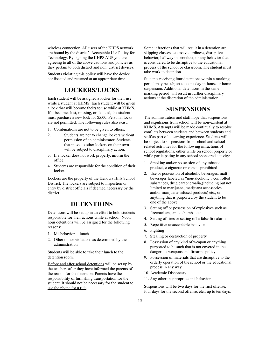wireless connection. All users of the KHPS network are bound by the district's Acceptable Use Policy for Technology. By signing the KHPS AUP you are agreeing to all of the above cautions and policies as they pertain to both district and non-district devices.

Students violating this policy will have the device confiscated and returned at an appropriate time.

#### **LOCKERS/LOCKS**

Each student will be assigned a locker for their use while a student at KHMS. Each student will be given a lock that will become theirs to use while at KHMS. If it becomes lost, missing, or defaced, the student must purchase a new lock for \$5.00. Personal locks are not permitted. The following rules also exist:

- 1. Combinations are not to be given to others.
- 2. Students are not to change lockers without permission of an administrator. Students that move to other lockers on their own will be subject to disciplinary action.
- 3. If a locker does not work properly, inform the office.
- 4. Students are responsible for the condition of their locker.

Lockers are the property of the Kenowa Hills School District. The lockers are subject to inspection or entry by district officials if deemed necessary by the district.

#### **DETENTIONS**

Detentions will be set up in an effort to hold students responsible for their actions while at school. Noon hour detentions will be assigned for the following reasons:

- 1. Misbehavior at lunch
- 2. Other minor violations as determined by the administration

Students will be able to take their lunch to the detention room.

Before and after school detentions will be set up by the teachers after they have informed the parents of the reason for the detention. Parents have the responsibility of furnishing transportation for the student. It should not be necessary for the student to use the phone for a ride.

Some infractions that will result in a detention are skipping classes, excessive tardiness, disruptive behavior, hallway misconduct, or any behavior that is considered to be disruptive to the educational process of the school or classroom. The student must take work to detention.

Students receiving four detentions within a marking period may be subject to a one day in-house or home suspension. Additional detentions in the same marking period will result in further disciplinary actions at the discretion of the administration.

#### **SUSPENSIONS**

The administration and staff hope that suspensions and expulsions from school will be non-existent at KHMS. Attempts will be made continually to resolve conflicts between students and between students and staff as part of a learning experience. Students will be subject to suspensions from school and school related activities for the following infractions of school regulations, either while on school property or while participating in any school sponsored activity:

- 1. Smoking and/or possession of any tobacco product, e-cigarette or vape is prohibited
- 2. Use or possession of alcoholic beverages, malt beverages labeled as "non-alcoholic", controlled substances, drug paraphernalia,(including but not limited to marijuana, marijuana accessories and/or marijuana-infused products) etc., or anything that is purported by the student to be one of the above
- 3. Setting off or possession of explosives such as firecrackers, smoke bombs, etc.
- 4. Setting of fires or setting off a false fire alarm
- 5. Repetitive unacceptable behavior
- 6. Fighting
- 7. Stealing or destruction of property
- 8. Possession of any kind of weapon or anything purported to be such that is not covered in the dangerous weapons and firearms policy
- 9. Possession of materials that are disruptive to the orderly operation of the school or the educational process in any way
- 10. Academic Dishonesty
- 11. Any other inappropriate misbehaviors

Suspensions will be two days for the first offense, four days for the second offense, etc., up to ten days.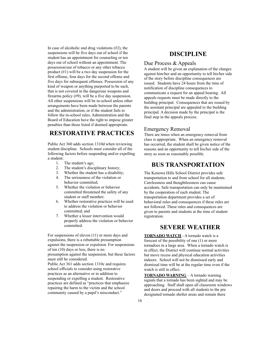In case of alcoholic and drug violations (#2), the suspensions will be five days out of school if the student has an appointment for counseling or ten days out of school without an appointment. The possession/use of tobacco or any other tobacco product (#1) will be a two day suspension for the first offense, four days for the second offense and five days for subsequent offenses. Possession of any kind of weapon or anything purported to be such, that is not covered in the dangerous weapons and firearms policy (#9), will be a five day suspension. All other suspensions will be in-school unless other arrangements have been made between the parents and the administration, or if the student fails to follow the in-school rules. Administration and the Board of Education have the right to impose greater penalties than those listed if deemed appropriate.

## **RESTORATIVE PRACTICES**

Public Act 360 adds section 1310d when reviewing student discipline. Schools must consider all of the following factors before suspending and/or expelling a student:

- 1. The student's age;
- 2. The student's disciplinary history;
- 3. Whether the student has a disability;
- 4. The seriousness of the violation or behavior committed;
- 5. Whether the violation or behavior committed threatened the safety of any student or staff member;
- 6. Whether restorative practices will be used to address the violation or behavior committed; and
- 7. Whether a lesser intervention would properly address the violation or behavior committed.

For suspensions of eleven (11) or more days and expulsions, there is a rebuttable presumption against the suspension or expulsion. For suspensions of ten (10) days or less, there is no presumption against the suspension, but these factors must still be considered. Public Act 361 adds section 1310c and requires school officials to consider using restorative practices as an alternative or in addition to suspending or expelling a student. Restorative practices are defined as "practices that emphasize repairing the harm to the victim and the school community caused by a pupil's misconduct."

#### **DISCIPLINE**

#### Due Process & Appeals

A student will be given an explanation of the charges against him/her and an opportunity to tell his/her side of the story before discipline consequences are issued. Students have 24 hours from the time of notification of discipline consequences to communicate a request for an appeal hearing. All appeals requests must be made directly to the building principal. Consequences that are issued by the assistant principal are appealed to the building principal. A decision made by the principal is the final step in the appeals process.

#### Emergency Removal

There are times when an emergency removal from class is appropriate. When an emergency removal has occurred, the student shall be given notice of the reasons and an opportunity to tell his/her side of the story as soon as reasonably possible*.*

## **BUS TRANSPORTATION**

The Kenowa Hills School District provides safe transportation to and from school for all students. Carelessness and thoughtlessness can cause accidents. Safe transportation can only be maintained by the cooperation of each student. The transportation department provides a set of behavioral rules and consequences if these rules are not followed. These rules and consequences are given to parents and students at the time of student registration.

## **SEVERE WEATHER**

**TORNADO WATCH** - A tornado watch is a forecast of the possibility of one (1) or more tornadoes in a large area. When a tornado watch is in effect, the District will continue normal activities but move recess and physical education activities indoors. School will not be dismissed early and dismissal time will be at the regular time even if the watch is still in effect.

**TORNADO WARNING** – A tornado warning signals that a tornado has been sighted and may be approaching. Staff shall open all classroom windows and doors and proceed with all students to the pre designated tornado shelter areas and remain there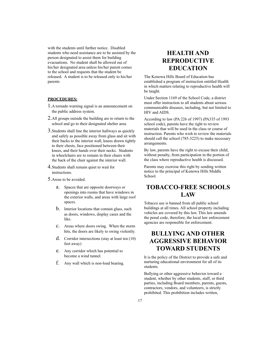with the students until further notice. Disabled students who need assistance are to be assisted by the person designated to assist them for building evacuations. No student shall be allowed out of his/her designated area unless his/her parent comes to the school and requests that the student be released. A student is to be released only to his/her parents

#### **PROCEDURES:**

- 1.A tornado warning signal is an announcement on the public address system.
- 2.All groups outside the building are to return to the school and go to their designated shelter area.
- 3.Students shall line the interior hallways as quickly and safely as possible away from glass and sit with their backs to the interior wall, knees drawn tightly to their chests, face positioned between their knees, and their hands over their necks. Students in wheelchairs are to remain in their chairs with the back of the chair against the interior wall.
- 4.Students shall remain quiet to wait for instructions.
- 5.Areas to be avoided.
	- a. Spaces that are opposite doorways or openings into rooms that have windows in the exterior walls, and areas with large roof spaces.
	- b. Interior locations that contain glass, such as doors, windows, display cases and the like.
	- c. Areas where doors swing. When the storm hits, the doors are likely to swing violently.
	- d. Corridor intersections (stay at least ten (10) feet away)
	- e. Any corridor which has potential to become a wind tunnel.
	- f. Any wall which is non-load bearing.

## **HEALTH AND REPRODUCTIVE EDUCATION**

The Kenowa Hills Board of Education has established a program of instruction entitled Health in which matters relating to reproductive health will be taught.

Under Section 1169 of the School Code, a district must offer instruction to all students about serious communicable diseases, including, but not limited to HIV and AIDS.

According to law (PA 226 of 1997) (PA335 of 1993 school code), parents have the right to review materials that will be used in the class or course of instruction. Parents who wish to review the materials should call the school (785-3225) to make necessary arrangements.

By law, parents have the right to excuse their child, without penalty, from participation in the portion of the class where reproductive health is discussed.

Parents may exercise this right by sending written notice to the principal of Kenowa Hills Middle School.

## **TOBACCO-FREE SCHOOLS LAW**

Tobacco use is banned from all public school buildings at all times. All school property including vehicles are covered by this law. This law amends the penal code, therefore, the local law enforcement agencies are responsible for enforcement.

## **BULLYING AND OTHER AGGRESSIVE BEHAVIOR TOWARD STUDENTS**

It is the policy of the District to provide a safe and nurturing educational environment for all of its students.

Bullying or other aggressive behavior toward a student, whether by other students, staff, or third parties, including Board members, parents, guests, contractors, vendors, and volunteers, is strictly prohibited. This prohibition includes written,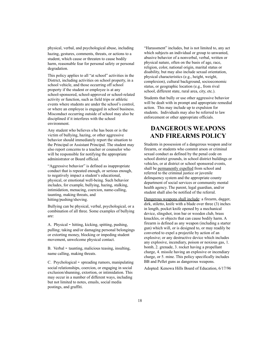physical, verbal, and psychological abuse, including hazing, gestures, comments, threats, or actions to a student, which cause or threaten to cause bodily harm, reasonable fear for personal safety or personal degradation.

This policy applies to all "at school" activities in the District, including activities on school property, in a school vehicle, and those occurring off school property if the student or employee is at any school-sponsored, school-approved or school-related activity or function, such as field trips or athletic events where students are under the school's control, or where an employee is engaged in school business. Misconduct occurring outside of school may also be disciplined if it interferes with the school environment.

Any student who believes s/he has been or is the victim of bullying, hazing, or other aggressive behavior should immediately report the situation to the Principal or Assistant Principal. The student may also report concerns to a teacher or counselor who will be responsible for notifying the appropriate administrator or Board official.

"Aggressive behavior" is defined as inappropriate conduct that is repeated enough, or serious enough, to negatively impact a student's educational, physical, or emotional well-being. Such behavior includes, for example, bullying, hazing, stalking, intimidation, menacing, coercion, name-calling, taunting, making threats, and hitting/pushing/shoving.

Bullying can be physical, verbal, psychological, or a combination of all three. Some examples of bullying are:

A. Physical - hitting, kicking, spitting, pushing, pulling; taking and/or damaging personal belongings or extorting money, blocking or impeding student movement, unwelcome physical contact.

B. Verbal - taunting, malicious teasing, insulting, name calling, making threats.

C. Psychological - spreading rumors, manipulating social relationships, coercion, or engaging in social exclusion/shunning, extortion, or intimidation. This may occur in a number of different ways, including but not limited to notes, emails, social media postings, and graffiti.

"Harassment" includes, but is not limited to, any act which subjects an individual or group to unwanted, abusive behavior of a nonverbal, verbal, written or physical nature, often on the basis of age, race, religion, color, national origin, marital status or disability, but may also include sexual orientation, physical characteristics (e.g., height, weight, complexion), cultural background, socioeconomic status, or geographic location (e.g., from rival school, different state, rural area, city, etc.).

Students that bully or use other aggressive behavior will be dealt with in prompt and appropriate remedial action. This may include up to expulsion for students. Individuals may also be referred to law enforcement or other appropriate officials.

## **DANGEROUS WEAPONS AND FIREARMS POLICY**

Students in possession of a dangerous weapon and/or firearm, or students who commit arson or criminal sexual conduct as defined by the penal code on school district grounds, in school district buildings or vehicles, or at district or school sponsored events, shall be permanently expelled from school and referred to the criminal justice or juvenile delinquency system and the appropriate county department of social services or community mental health agency. The parent, legal guardian, and/or student shall also be notified of the referral.

Dangerous weapons shall include: a firearm, dagger, dirk, stiletto, knife with a blade over three (3) inches in length, pocket knife opened by a mechanical device, slingshot, iron bar or wooden club, brass knuckles, or objects that can cause bodily harm. A firearm is defined as any weapon (including a starter gun) which will, or is designed to, or may readily be converted to expel a projectile by action of an explosive; or any destructive device which includes any explosive, incendiary, poison or noxious gas, 1. bomb, 2. grenade, 3. rocket having a propellant charge, 4. missile having an explosive or incendiary charge, or 5. mine. This policy specifically includes BB and Pellet guns as dangerous weapons.

Adopted: Kenowa Hills Board of Education, 6/17/96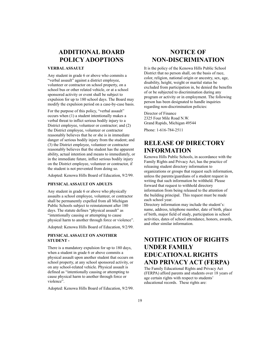## **ADDITIONAL BOARD POLICY ADOPTIONS**

#### **VERBAL ASSAULT**

Any student in grade 6 or above who commits a "verbal assault" against a district employee, volunteer or contractor on school property, on a school bus or other related vehicle, or at a school sponsored activity or event shall be subject to expulsion for up to 180 school days. The Board may modify the expulsion period on a case-by-case basis.

For the purpose of this policy, "verbal assault" occurs when (1) a student intentionally makes a verbal threat to inflict serious bodily injury to a District employee, volunteer or contractor; and (2) the District employee, volunteer or contractor reasonably believes that he or she is in immediate danger of serious bodily injury from the student; and (3) the District employee, volunteer or contractor reasonably believes that the student has the apparent ability, actual intention and means to immediately, or in the immediate future, inflict serious bodily injury on the District employee, volunteer or contractor, if the student is not prevented from doing so.

Adopted: Kenowa Hills Board of Education, 9/2/99.

#### **PHYSICAL ASSAULT ON ADULTS**

Any student in grade 6 or above who physically assaults a school employee, volunteer, or contractor shall be permanently expelled from all Michigan Public Schools subject to reinstatement after 180 days. The statute defines "physical assault" as "intentionally causing or attempting to cause physical harm to another through force or violence".

Adopted: Kenowa Hills Board of Education, 9/2/99.

#### **PHYSICAL ASSAULT ON ANOTHER STUDENT -**

There is a mandatory expulsion for up to 180 days, when a student in grade 6 or above commits a physical assault upon another student that occurs on school property, at any school sponsored activity, or on any school-related vehicle. Physical assault is defined as "intentionally causing or attempting to cause physical harm to another through force or violence".

Adopted: Kenowa Hills Board of Education, 9/2/99.

## **NOTICE OF NON-DISCRIMINATION**

It is the policy of the Kenowa Hills Public School District that no person shall, on the basis of race, color, religion, national origin or ancestry, sex, age, disability, height, weight or marital status be excluded from participation in, be denied the benefits of or be subjected to discrimination during any program or activity or in employment. The following person has been designated to handle inquiries regarding non-discrimination policies:

Director of Finance 2325 Four Mile Road N.W. Grand Rapids, Michigan 49544

Phone: 1-616-784-2511

## **RELEASE OF DIRECTORY INFORMATION**

Kenowa Hills Public Schools, in accordance with the Family Rights and Privacy Act, has the practice of releasing student directory information to organizations or groups that request such information, unless the parents/guardians of a student request in writing that such information be withheld. Please forward that request to withhold directory information from being released to the attention of the building principal. This request must be made each school year.

Directory information may include the student's: name, address, telephone number, date of birth, place of birth, major field of study, participation in school activities, dates of school attendance, honors, awards, and other similar information.

## **NOTIFICATION OF RIGHTS UNDER FAMILY EDUCATIONAL RIGHTS AND PRIVACY ACT (FERPA)**

The Family Educational Rights and Privacy Act (FERPA) afford parents and students over 18 years of age certain rights with respect to students' educational records. These rights are: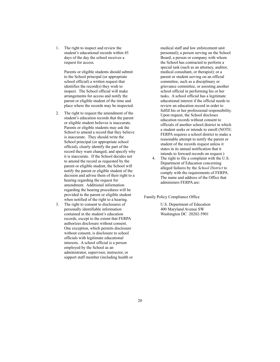1. The right to inspect and review the student's educational records within 45 days of the day the school receives a request for access.

> Parents or eligible students should submit to the School principal (or appropriate school official) a written request that identifies the record(s) they wish to inspect. The School official will make arrangements for access and notify the parent or eligible student of the time and place where the records may be inspected.

- 2. The right to request the amendment of the student's education records that the parent or eligible student believes is inaccurate. Parents or eligible students may ask the School to amend a record that they believe is inaccurate. They should write the School principal (or appropriate school official), clearly identify the part of the record they want changed, and specify why it is inaccurate. If the School decides not to amend the record as requested by the parent or eligible student, the School will notify the parent or eligible student of the decision and advise them of their right to a hearing regarding the request for amendment. Additional information regarding the hearing procedures will be provided to the parent or eligible student when notified of the right to a hearing.
- 3. The right to consent to disclosures of personally identifiable information contained in the student's education records, except to the extent that FERPA authorizes disclosure without consent. One exception, which permits disclosure without consent, is disclosure to school officials with legitimate educational interests. A school official is a person employed by the School as an administrator, supervisor, instructor, or support staff member (including health or

medical staff and law enforcement unit personnel); a person serving on the School Board; a person or company with whom the School has contracted to perform a special task (such as an attorney, auditor, medical consultant, or therapist); or a parent or student serving on an official committee, such as a disciplinary or grievance committee, or assisting another school official in performing his or her tasks. A school official has a legitimate educational interest if the official needs to review an education record in order to fulfill his or her professional responsibility. Upon request, the School discloses education records without consent to officials of another school district in which a student seeks or intends to enroll (NOTE: FERPA requires a school district to make a reasonable attempt to notify the parent or student of the records request unless it states in its annual notification that it intends to forward records on request.)

4. The right to file a complaint with the U.S. Department of Education concerning alleged failures by the *School District* to comply with the requirements of FERPA. The name and address of the Office that administers FERPA are:

Family Policy Compliance Office

U.S. Department of Education 400 Maryland Avenue SW Washington DC 20202-5901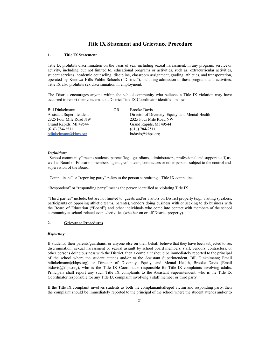#### **Title IX Statement and Grievance Procedure**

#### **1. Title IX Statement**

Title IX prohibits discrimination on the basis of sex, including sexual harassment, in any program, service or activity, including but not limited to, educational programs or activities, such as, extracurricular activities, student services, academic counseling, discipline, classroom assignment, grading, athletics, and transportation, operated by Kenowa Hills Public Schools ("District"), including admission to these programs and activities. Title IX also prohibits sex discrimination in employment.

The District encourages anyone within the school community who believes a Title IX violation may have occurred to report their concerns to a District Title IX Coordinator identified below.

| Bill Dinkelmann                 | OR. | <b>Brooke Davis</b>                              |
|---------------------------------|-----|--------------------------------------------------|
| <b>Assistant Superintendent</b> |     | Director of Diversity, Equity, and Mental Health |
| 2325 Four Mile Road NW          |     | 2325 Four Mile Road NW                           |
| Grand Rapids, MI 49544          |     | Grand Rapids, MI 49544                           |
| $(616) 784 - 2511$              |     | $(616) 784 - 2511$                               |
| bdinkelmann@khps.org            |     | btdavis@khps.org                                 |

#### *Definitions*

"School community" means students, parents/legal guardians, administrators, professional and support staff, as well as Board of Education members, agents, volunteers, contractors or other persons subject to the control and supervision of the Board.

"Complainant" or "reporting party" refers to the person submitting a Title IX complaint.

"Respondent" or "responding party" means the person identified as violating Title IX.

"Third parties" include, but are not limited to, guests and/or visitors on District property (*e.g.*, visiting speakers, participants on opposing athletic teams, parents), vendors doing business with or seeking to do business with the Board of Education ("Board") and other individuals who come into contact with members of the school community at school-related events/activities (whether on or off District property).

#### **2. Grievance Procedures**

#### *Reporting*

If students, their parents/guardians, or anyone else on their behalf believe that they have been subjected to sex discrimination, sexual harassment or sexual assault by school board members, staff, vendors, contractors, or other persons doing business with the District, then a complaint should be immediately reported to the principal of the school where the student attends and/or to the Assistant Superintendent, Bill Dinkelmann; Email bdinkelmann@khps.org) or Director of Diversity, Equity, and Mental Health, Brooke Davis (Email btdavis@khps.org), who is the Title IX Coordinator responsible for Title IX complaints involving adults. Principals shall report any such Title IX complaints to the Assistant Superintendent, who is the Title IX Coordinator responsible for any Title IX complaint involving a staff member or third party.

If the Title IX complaint involves students as both the complainant/alleged victim and responding party, then the complaint should be immediately reported to the principal of the school where the student attends and/or to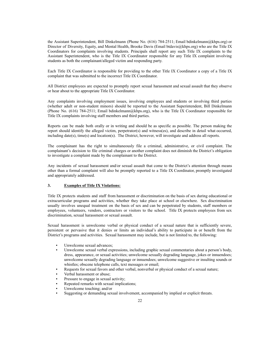the Assistant Superintendent, Bill Dinkelmann (Phone No. (616) 784-2511; Email bdinkelmann@khps.org) or Director of Diversity, Equity, and Mental Health, Brooke Davis (Email btdavis@khps.org) who are the Title IX Coordinators for complaints involving students. Principals shall report any such Title IX complaints to the Assistant Superintendent, who is the Title IX Coordinator responsible for any Title IX complaint involving students as both the complainant/alleged victim and responding party.

Each Title IX Coordinator is responsible for providing to the other Title IX Coordinator a copy of a Title IX complaint that was submitted to the incorrect Title IX Coordinator.

All District employees are expected to promptly report sexual harassment and sexual assault that they observe or hear about to the appropriate Title IX Coordinator.

Any complaints involving employment issues, involving employees and students or involving third parties (whether adult or non-student minors) should be reported to the Assistant Superintendent, Bill Dinkelmann (Phone No. (616) 784-2511; Email bdinkelmann@khps.org), who is the Title IX Coordinator responsible for Title IX complaints involving staff members and third parties.

Reports can be made both orally or in writing and should be as specific as possible. The person making the report should identify the alleged victim, perpetrator(s) and witness(es), and describe in detail what occurred, including date(s), time(s) and location(s). The District, however, will investigate and address all reports.

The complainant has the right to simultaneously file a criminal, administrative, or civil complaint. The complainant's decision to file criminal charges or another complaint does not diminish the District's obligation to investigate a complaint made by the complainant to the District.

Any incidents of sexual harassment and/or sexual assault that come to the District's attention through means other than a formal complaint will also be promptly reported to a Title IX Coordinator, promptly investigated and appropriately addressed.

#### **3. Examples of Title IX Violations:**

Title IX protects students and staff from harassment or discrimination on the basis of sex during educational or extracurricular programs and activities, whether they take place at school or elsewhere. Sex discrimination usually involves unequal treatment on the basis of sex and can be perpetrated by students, staff members or employees, volunteers, vendors, contractors or visitors to the school. Title IX protects employees from sex discrimination, sexual harassment or sexual assault.

Sexual harassment is unwelcome verbal or physical conduct of a sexual nature that is sufficiently severe, persistent or pervasive that it denies or limits an individual's ability to participate in or benefit from the District's programs and activities. Sexual harassment may include, but is not limited to, the following:

- Unwelcome sexual advances;
- Unwelcome sexual verbal expressions, including graphic sexual commentaries about a person's body, dress, appearance, or sexual activities; unwelcome sexually degrading language, jokes or innuendoes; unwelcome sexually degrading language or innuendoes; unwelcome suggestive or insulting sounds or whistles; obscene telephone calls, text messages or email;
- Requests for sexual favors and other verbal, nonverbal or physical conduct of a sexual nature;
- Verbal harassment or abuse;
- Pressure to engage in sexual activity;
- Repeated remarks with sexual implications;
- Unwelcome touching; and/or
- Suggesting or demanding sexual involvement, accompanied by implied or explicit threats.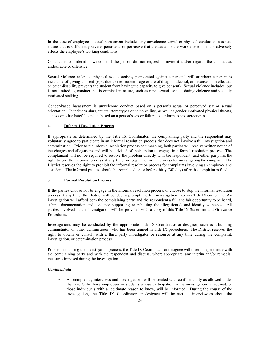In the case of employees, sexual harassment includes any unwelcome verbal or physical conduct of a sexual nature that is sufficiently severe, persistent, or pervasive that creates a hostile work environment or adversely affects the employee's working conditions.

Conduct is considered unwelcome if the person did not request or invite it and/or regards the conduct as undesirable or offensive.

Sexual violence refers to physical sexual activity perpetrated against a person's will or where a person is incapable of giving consent (*e.g.*, due to the student's age or use of drugs or alcohol, or because an intellectual or other disability prevents the student from having the capacity to give consent). Sexual violence includes, but is not limited to, conduct that is criminal in nature, such as rape, sexual assault, dating violence and sexually motivated stalking.

Gender-based harassment is unwelcome conduct based on a person's actual or perceived sex or sexual orientation. It includes slurs, taunts, stereotypes or name-calling, as well as gender-motivated physical threats, attacks or other hateful conduct based on a person's sex or failure to conform to sex stereotypes.

#### **4. Informal Resolution Process**

If appropriate as determined by the Title IX Coordinator, the complaining party and the respondent may voluntarily agree to participate in an informal resolution process that does not involve a full investigation and determination. Prior to the informal resolution process commencing, both parties will receive written notice of the charges and allegations and will be advised of their option to engage in a formal resolution process. The complainant will not be required to resolve the problem directly with the respondent, and either party has the right to end the informal process at any time and begin the formal process for investigating the complaint. The District reserves the right to prohibit the informal resolution process for complaints involving an employee and a student. The informal process should be completed on or before thirty (30) days after the complaint is filed.

#### **5. Formal Resolution Process**

If the parties choose not to engage in the informal resolution process, or choose to stop the informal resolution process at any time, the District will conduct a prompt and full investigation into any Title IX complaint. An investigation will afford both the complaining party and the respondent a full and fair opportunity to be heard, submit documentation and evidence supporting or rebutting the allegation(s), and identify witnesses. All parties involved in the investigation will be provided with a copy of this Title IX Statement and Grievance Procedures.

Investigations may be conducted by the appropriate Title IX Coordinator or designee, such as a building administrator or other administrator, who has been trained in Title IX procedures. The District reserves the right to obtain or consult with a third party investigator or resource at any time during the complaint, investigation, or determination process.

Prior to and during the investigation process, the Title IX Coordinator or designee will meet independently with the complaining party and with the respondent and discuss, where appropriate, any interim and/or remedial measures imposed during the investigation.

#### *Confidentiality*

All complaints, interviews and investigations will be treated with confidentiality as allowed under the law. Only those employees or students whose participation in the investigation is required, or those individuals with a legitimate reason to know, will be informed. During the course of the investigation, the Title IX Coordinator or designee will instruct all interviewees about the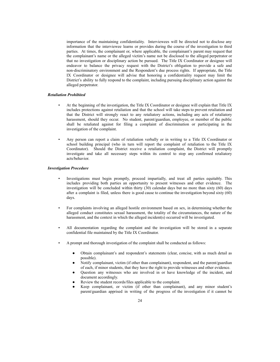importance of the maintaining confidentiality. Interviewees will be directed not to disclose any information that the interviewee learns or provides during the course of the investigation to third parties. At times, the complainant or, where applicable, the complainant's parent may request that the complainant's name or the alleged victim's name not be disclosed to the alleged perpetrator or that no investigation or disciplinary action be pursued. The Title IX Coordinator or designee will endeavor to balance the privacy request with the District's obligation to provide a safe and non-discriminatory environment and the Respondent's due process rights. If appropriate, the Title IX Coordinator or designee will advise that honoring a confidentiality request may limit the District's ability to fully respond to the complaint, including pursuing disciplinary action against the alleged perpetrator.

#### *Retaliation Prohibited*

- At the beginning of the investigation, the Title IX Coordinator or designee will explain that Title IX includes protections against retaliation and that the school will take steps to prevent retaliation and that the District will strongly react to any retaliatory actions, including any acts of retaliatory harassment, should they occur. No student, parent/guardian, employee, or member of the public shall be retaliated against for filing a complaint of discrimination or participating in the investigation of the complaint.
- Any person can report a claim of retaliation verbally or in writing to a Title IX Coordinator or school building principal (who in turn will report the complaint of retaliation to the Title IX Coordinator). Should the District receive a retaliation complaint, the District will promptly investigate and take all necessary steps within its control to stop any confirmed retaliatory acts/behavior.

#### *Investigation Procedure*

- Investigations must begin promptly, proceed impartially, and treat all parties equitably. This includes providing both parties an opportunity to present witnesses and other evidence. The investigation will be concluded within thirty (30) calendar days but no more than sixty (60) days after a complaint is filed, unless there is good cause to continue the investigation beyond sixty (60) days.
- For complaints involving an alleged hostile environment based on sex, in determining whether the alleged conduct constitutes sexual harassment, the totality of the circumstances, the nature of the harassment, and the context in which the alleged incident(s) occurred will be investigated.
- All documentation regarding the complaint and the investigation will be stored in a separate confidential file maintained by the Title IX Coordinator.
- A prompt and thorough investigation of the complaint shall be conducted as follows:
	- Obtain complainant's and respondent's statements (clear, concise, with as much detail as possible).
	- Notify complainant, victim (if other than complainant), respondent, and the parent/guardian of each, if minor students, that they have the right to provide witnesses and other evidence.
	- Question any witnesses who are involved in or have knowledge of the incident, and document accordingly.
	- Review the student records/files applicable to the complaint.
	- Keep complainant, or victim (if other than complainant), and any minor student's parent/guardian apprised in writing of the progress of the investigation if it cannot be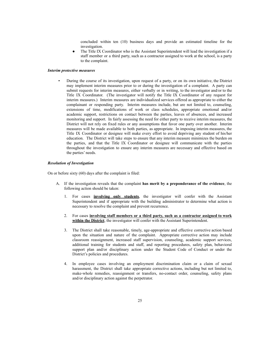concluded within ten (10) business days and provide an estimated timeline for the investigation.

• The Title IX Coordinator who is the Assistant Superintendent will lead the investigation if a staff member or a third party, such as a contractor assigned to work at the school, is a party to the complaint.

#### *Interim protective measures*

During the course of its investigation, upon request of a party, or on its own initiative, the District may implement interim measures prior to or during the investigation of a complaint. A party can submit requests for interim measures, either verbally or in writing, to the investigator and/or to the Title IX Coordinator. (The investigator will notify the Title IX Coordinator of any request for interim measures.) Interim measures are individualized services offered as appropriate to either the complainant or responding party. Interim measures include, but are not limited to, counseling, extensions of time, modifications of work or class schedules, appropriate emotional and/or academic support, restrictions on contact between the parties, leaves of absences, and increased monitoring and support. In fairly assessing the need for either party to receive interim measures, the District will not rely on fixed rules or any assumptions that favor one party over another. Interim measures will be made available to both parties, as appropriate. In imposing interim measures, the Title IX Coordinator or designee will make every effort to avoid depriving any student of his/her education. The District will take steps to ensure that any interim measure minimizes the burden on the parties, and that the Title IX Coordinator or designee will communicate with the parties throughout the investigation to ensure any interim measures are necessary and effective based on the parties' needs.

#### *Resolution of Investigation*

On or before sixty (60) days after the complaint is filed:

- A. If the investigation reveals that the complaint **has merit by a preponderance of the evidence**, the following action should be taken:
	- 1. For cases **involving only students**, the investigator will confer with the Assistant Superintendent and if appropriate with the building administrator to determine what action is necessary to resolve the complaint and prevent recurrence.
	- 2. For cases **involving staff members or a third party, such as a contractor assigned to work within the District**, the investigator will confer with the Assistant Superintendent.
	- 3. The District shall take reasonable, timely, age-appropriate and effective corrective action based upon the situation and nature of the complaint. Appropriate corrective action may include classroom reassignment, increased staff supervision, counseling, academic support services, additional training for students and staff, and reporting procedures, safety plan, behavioral support plan and/or disciplinary action under the Student Code of Conduct or under the District's policies and procedures.
	- 4. In employee cases involving an employment discrimination claim or a claim of sexual harassment, the District shall take appropriate corrective actions, including but not limited to, make-whole remedies, reassignment or transfers, no-contact order, counseling, safety plans and/or disciplinary action against the perpetrator.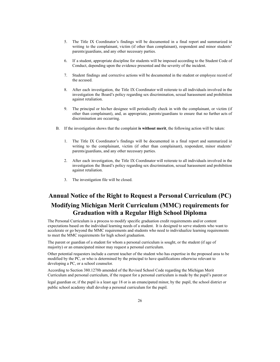- 5. The Title IX Coordinator's findings will be documented in a final report and summarized in writing to the complainant, victim (if other than complainant), respondent and minor students' parents/guardians, and any other necessary parties.
- 6. If a student, appropriate discipline for students will be imposed according to the Student Code of Conduct, depending upon the evidence presented and the severity of the incident.
- 7. Student findings and corrective actions will be documented in the student or employee record of the accused.
- 8. After each investigation, the Title IX Coordinator will reiterate to all individuals involved in the investigation the Board's policy regarding sex discrimination, sexual harassment and prohibition against retaliation.
- 9. The principal or his/her designee will periodically check in with the complainant, or victim (if other than complainant), and, as appropriate, parents/guardians to ensure that no further acts of discrimination are occurring.
- B. If the investigation shows that the complaint **is without merit**, the following action will be taken:
	- 1. The Title IX Coordinator's findings will be documented in a final report and summarized in writing to the complainant, victim (if other than complainant), respondent, minor students' parents/guardians, and any other necessary parties.
	- 2. After each investigation, the Title IX Coordinator will reiterate to all individuals involved in the investigation the Board's policy regarding sex discrimination, sexual harassment and prohibition against retaliation.
	- 3. The investigation file will be closed.

## **Annual Notice of the Right to Request a Personal Curriculum (PC) Modifying Michigan Merit Curriculum (MMC) requirements for Graduation with a Regular High School Diploma**

The Personal Curriculum is a process to modify specific graduation credit requirements and/or content expectations based on the individual learning needs of a student. It is designed to serve students who want to accelerate or go beyond the MMC requirements and students who need to individualize learning requirements to meet the MMC requirements for high school graduation.

The parent or guardian of a student for whom a personal curriculum is sought, or the student (if age of majority) or an emancipated minor may request a personal curriculum.

Other potential requesters include a current teacher of the student who has expertise in the proposed area to be modified by the PC, or who is determined by the principal to have qualifications otherwise relevant to developing a PC, or a school counselor.

According to Section 380.1278b amended of the Revised School Code regarding the Michigan Merit Curriculum and personal curriculum, if the request for a personal curriculum is made by the pupil's parent or

legal guardian or, if the pupil is a least age 18 or is an emancipated minor, by the pupil, the school district or public school academy shall develop a personal curriculum for the pupil.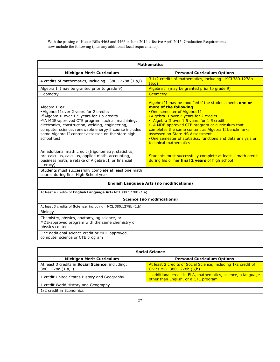With the passing of House Bills 4465 and 4466 in June 2014 effective April 2015, Graduation Requirements now include the following (plus any additional local requirements):

| <b>Mathematics</b>                                                                                                                                                                                                                                                                                                                           |                                                                                                                                                                                                                                                                                                                                                                                                                                                  |  |
|----------------------------------------------------------------------------------------------------------------------------------------------------------------------------------------------------------------------------------------------------------------------------------------------------------------------------------------------|--------------------------------------------------------------------------------------------------------------------------------------------------------------------------------------------------------------------------------------------------------------------------------------------------------------------------------------------------------------------------------------------------------------------------------------------------|--|
| <b>Michigan Merit Curriculum</b>                                                                                                                                                                                                                                                                                                             | <b>Personal Curriculum Options</b>                                                                                                                                                                                                                                                                                                                                                                                                               |  |
| 4 credits of mathematics, including: 380.1278a (1,a,i)                                                                                                                                                                                                                                                                                       | 3 1/2 credits of mathematics, including: MCL380.1278b<br>(5,a)                                                                                                                                                                                                                                                                                                                                                                                   |  |
| Algebra I (may be granted prior to grade 9)                                                                                                                                                                                                                                                                                                  | Algebra I (may be granted prior to grade 9)                                                                                                                                                                                                                                                                                                                                                                                                      |  |
| Geometry                                                                                                                                                                                                                                                                                                                                     | Geometry                                                                                                                                                                                                                                                                                                                                                                                                                                         |  |
| Algebra II or<br>• Algebra II over 2 years for 2 credits<br>·ŸAlgebra II over 1.5 years for 1.5 credits<br>.ŸA MDE-approved CTE program such as machining,<br>electronics, construction, welding, engineering,<br>computer science, renewable energy if course includes<br>some Algebra II content assessed on the state high<br>school test | Algebra II may be modified if the student meets one or<br>more of the following:<br>. One semester of Algebra II<br>. Algebra II over 2 years for 2 credits<br>• Algebra II over 1.5 years for 1.5 credits<br>• A MDE-approved CTE program or curriculum that<br>completes the same content as Algebra II benchmarks<br>assessed on State HS Assessment<br>. One semester of statistics, functions and data analysis or<br>technical mathematics |  |
| An additional math credit (trigonometry, statistics,<br>pre-calculus, calculus, applied math, accounting,<br>business math, a retake of Algebra II, or financial<br>literacy)                                                                                                                                                                | Students must successfully complete at least 1 math credit<br>during his or her final 2 years of high school                                                                                                                                                                                                                                                                                                                                     |  |
| Students must successfully complete at least one math<br>course during final High School year                                                                                                                                                                                                                                                |                                                                                                                                                                                                                                                                                                                                                                                                                                                  |  |
| <b>English Language Arts (no modifications)</b>                                                                                                                                                                                                                                                                                              |                                                                                                                                                                                                                                                                                                                                                                                                                                                  |  |
| At least 4 credits of English Language Arts MCL380.1278b (1,a)                                                                                                                                                                                                                                                                               |                                                                                                                                                                                                                                                                                                                                                                                                                                                  |  |
| Science (no modifications)                                                                                                                                                                                                                                                                                                                   |                                                                                                                                                                                                                                                                                                                                                                                                                                                  |  |
| At least 3 credits of Science, including: MCL 380.1278b (1,b)                                                                                                                                                                                                                                                                                |                                                                                                                                                                                                                                                                                                                                                                                                                                                  |  |
| Biology                                                                                                                                                                                                                                                                                                                                      |                                                                                                                                                                                                                                                                                                                                                                                                                                                  |  |
| Chemistry, physics, anatomy, ag science, or<br>MDE-approved program with the same chemistry or<br>physics content                                                                                                                                                                                                                            |                                                                                                                                                                                                                                                                                                                                                                                                                                                  |  |
| One additional science credit or MDE-approved<br>computer science or CTE program                                                                                                                                                                                                                                                             |                                                                                                                                                                                                                                                                                                                                                                                                                                                  |  |

| <b>Social Science</b>                                                          |                                                                                                      |  |
|--------------------------------------------------------------------------------|------------------------------------------------------------------------------------------------------|--|
| <b>Michigan Merit Curriculum</b>                                               | <b>Personal Curriculum Options</b>                                                                   |  |
| At least 3 credits in <b>Social Science</b> , including:<br>380.1278a (1,a,ii) | At least 2 credits of Social Science, including 1/2 credit of<br>Civics MCL 380.1278b (5,h)          |  |
| 1 credit United States History and Geography                                   | 1 additional credit in ELA, mathematics, science, a language<br>other than English, or a CTE program |  |
| 1 credit World History and Geography                                           |                                                                                                      |  |
| 1/2 credit in Economics                                                        |                                                                                                      |  |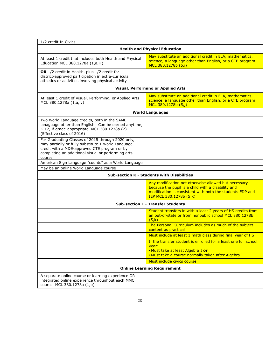| 1/2 credit In Civics                                                                                                                                                                                                    |                                                                                                                                                                                                    |  |
|-------------------------------------------------------------------------------------------------------------------------------------------------------------------------------------------------------------------------|----------------------------------------------------------------------------------------------------------------------------------------------------------------------------------------------------|--|
| <b>Health and Physical Education</b>                                                                                                                                                                                    |                                                                                                                                                                                                    |  |
| At least 1 credit that includes both Health and Physical<br>Education MCL 380.1278a (1,a,iii)                                                                                                                           | May substitute an additional credit in ELA, mathematics,<br>science, a language other than English, or a CTE program<br>MCL 380.1278b (5,i)                                                        |  |
| OR 1/2 credit in Health, plus 1/2 credit for<br>district-approved participation in extra-curricular<br>athletics or activities involving physical activity                                                              |                                                                                                                                                                                                    |  |
|                                                                                                                                                                                                                         | <b>Visual, Performing or Applied Arts</b>                                                                                                                                                          |  |
| At least 1 credit of Visual, Performing, or Applied Arts<br>MCL 380.1278a (1,a,iv)                                                                                                                                      | May substitute an additional credit in ELA, mathematics,<br>science, a language other than English, or a CTE program<br>MCL 380.1278b (5,j)                                                        |  |
|                                                                                                                                                                                                                         | <b>World Languages</b>                                                                                                                                                                             |  |
| Two World Language credits, both in the SAME<br>lanaguage other than English. Can be earned anytime,<br>K-12, if grade-appropriate MCL 380.1278a (2)<br>(Effective class of 2016)                                       |                                                                                                                                                                                                    |  |
| For Graduating Classes of 2015 through 2020 only,<br>may partially or fully substitute 1 World Language<br>credit with a MDE-approved CTE program or by<br>completing an additional visual or performing arts<br>course |                                                                                                                                                                                                    |  |
| American Sign Language "counts" as a World Language                                                                                                                                                                     |                                                                                                                                                                                                    |  |
| May be an online World Language course                                                                                                                                                                                  |                                                                                                                                                                                                    |  |
|                                                                                                                                                                                                                         | <b>Sub-section K - Students with Disabilities</b>                                                                                                                                                  |  |
|                                                                                                                                                                                                                         | Any modification not otherwise allowed but necessary<br>because the pupil is a child with a disability and<br>modification is consistent with both the students EDP and<br>IEP MCL 380.1278b (5,k) |  |
|                                                                                                                                                                                                                         | <b>Sub-section L - Transfer Students</b>                                                                                                                                                           |  |
|                                                                                                                                                                                                                         | Student transfers in with a least 2 years of HS credits from<br>an out-of-state or from nonpublic school MCL 380.1278b<br>(5,k)                                                                    |  |
|                                                                                                                                                                                                                         | The Personal Curriculum includes as much of the subject<br>content as practical                                                                                                                    |  |
|                                                                                                                                                                                                                         | Must include at least 1 math class during final year of HS                                                                                                                                         |  |
|                                                                                                                                                                                                                         | If the transfer student is enrolled for a least one full school<br>year:<br>. Must take at least Algebra I or<br>. Must take a course normally taken after Algebra I                               |  |
|                                                                                                                                                                                                                         | Must include civics course                                                                                                                                                                         |  |
| <b>Online Learning Requirement</b>                                                                                                                                                                                      |                                                                                                                                                                                                    |  |
| A separate online course or learning experience OR<br>integrated online experience throughout each MMC<br>course MCL 380.1278a (1,b)                                                                                    |                                                                                                                                                                                                    |  |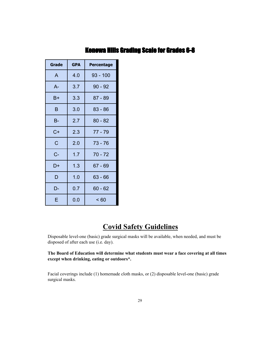| Grade          | <b>GPA</b> | Percentage |
|----------------|------------|------------|
| $\overline{A}$ | 4.0        | $93 - 100$ |
| A-             | 3.7        | $90 - 92$  |
| $B+$           | 3.3        | 87 - 89    |
| в              | 3.0        | $83 - 86$  |
| В-             | 2.7        | $80 - 82$  |
| C+             | 2.3        | 77 - 79    |
| C              | 2.0        | $73 - 76$  |
| $C -$          | 1.7        | $70 - 72$  |
| D+             | 1.3        | 67 - 69    |
| D              | 1.0        | $63 - 66$  |
| D-             | 0.7        | $60 - 62$  |
| E              | 0.0        | ~< 60      |

## Kenowa Hills Grading Scale for Grades 6-8

## **Covid Safety Guidelines**

Disposable level-one (basic) grade surgical masks will be available, when needed, and must be disposed of after each use (i.e. day).

#### **The Board of Education will determine what students must wear a face covering at all times except when drinking, eating or outdoors\*.**

Facial coverings include (1) homemade cloth masks, or (2) disposable level-one (basic) grade surgical masks.